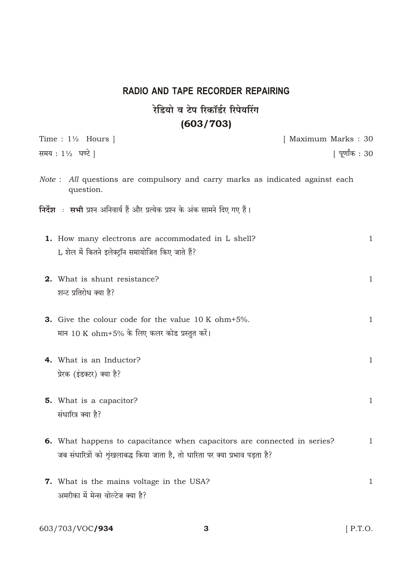## RADIO AND TAPE RECORDER REPAIRING रेडियो व टेप रिकॉर्डर रिपेयरिंग  $(603/703)$

| Time : $1\frac{1}{2}$ Hours                                                                                                                                                 | [ Maximum Marks: 30 |
|-----------------------------------------------------------------------------------------------------------------------------------------------------------------------------|---------------------|
| समय: $1\frac{1}{2}$ घण्टे                                                                                                                                                   | [ पूर्णांक : 30     |
| Note : All questions are compulsory and carry marks as indicated against each<br>question.<br>निर्देश : सभी प्रश्न अनिवार्य हैं और प्रत्येक प्रश्न के अंक सामने दिए गए हैं। |                     |
| 1. How many electrons are accommodated in L shell?                                                                                                                          | $\mathbf{1}$        |
| L शेल में कितने इलेक्ट्रॉन समायोजित किए जाते हैं?                                                                                                                           |                     |
|                                                                                                                                                                             |                     |
| 2. What is shunt resistance?                                                                                                                                                | $\mathbf{1}$        |
| शन्ट प्रतिरोध क्या है?                                                                                                                                                      |                     |
|                                                                                                                                                                             |                     |
| <b>3.</b> Give the colour code for the value 10 K ohm+5%.                                                                                                                   | $\mathbf{1}$        |
| मान 10 K ohm+5% के लिए कलर कोड प्रस्तुत करें।                                                                                                                               |                     |
|                                                                                                                                                                             |                     |
| 4. What is an Inductor?                                                                                                                                                     | $\mathbf{1}$        |
| प्रेरक (इंडक्टर) क्या है?                                                                                                                                                   |                     |
|                                                                                                                                                                             |                     |
| <b>5.</b> What is a capacitor?                                                                                                                                              | $\mathbf{1}$        |
| संधारित्र क्या है?                                                                                                                                                          |                     |
|                                                                                                                                                                             |                     |
| <b>6.</b> What happens to capacitance when capacitors are connected in series?                                                                                              | $\mathbf 1$         |
| जब संधारित्रों को शृंखलाबद्ध किया जाता है, तो धारिता पर क्या प्रभाव पड़ता है?                                                                                               |                     |
|                                                                                                                                                                             |                     |
| <b>7.</b> What is the mains voltage in the USA?                                                                                                                             | $\mathbf{1}$        |
| अमरीका में मेन्स वोल्टेज क्या है?                                                                                                                                           |                     |
|                                                                                                                                                                             |                     |
|                                                                                                                                                                             |                     |

 $\mathbf{3}$ 

603/703/VOC/934

[ P.T.O.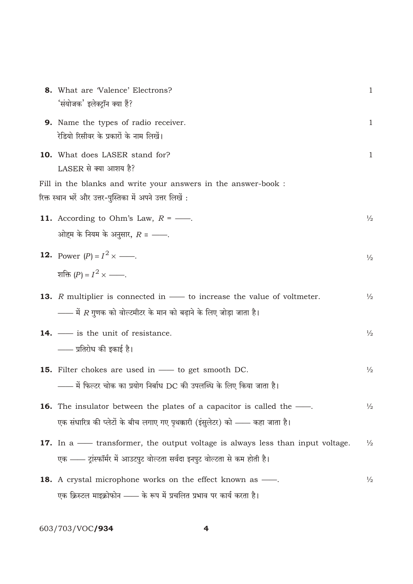| 8. | What are 'Valence' Electrons?<br>'संयोजक' इलेक्ट्रॉन क्या हैं?                                                                                                     | $\mathbf{1}$  |
|----|--------------------------------------------------------------------------------------------------------------------------------------------------------------------|---------------|
|    | 9. Name the types of radio receiver.<br>रेडियो रिसीवर के प्रकारों के नाम लिखें।                                                                                    | $\mathbf{1}$  |
|    | 10. What does LASER stand for?<br>LASER से क्या आशय है?                                                                                                            | $\mathbf{1}$  |
|    | Fill in the blanks and write your answers in the answer-book :<br>रिक्त स्थान भरें और उत्तर-पुस्तिका में अपने उत्तर लिखें :                                        |               |
|    | <b>11.</b> According to Ohm's Law, $R =$ —.<br>ओहम के नियम के अनुसार, $R =$ ——.                                                                                    | $\frac{1}{2}$ |
|    | <b>12.</b> Power $(P)$ $I^2$ —.<br>शक्ति $(P)$ $I^2$ —.                                                                                                            | $\frac{1}{2}$ |
|    | <b>13.</b> R multiplier is connected in — to increase the value of voltmeter.<br>—— में <i>R</i> गुणक को वोल्टमीटर के मान को बढ़ाने के लिए जोड़ा जाता है।          | $\frac{1}{2}$ |
|    | <b>14.</b> — is the unit of resistance.<br>—— प्रतिरोध की इकाई है।                                                                                                 | $\frac{1}{2}$ |
|    | <b>15.</b> Filter chokes are used in — to get smooth DC.<br>—— में फिल्टर चोक का प्रयोग निर्बाध DC की उपलब्धि के लिए किया जाता है।                                 | $\frac{1}{2}$ |
|    | <b>16.</b> The insulator between the plates of a capacitor is called the —<br>एक संधारित्र की प्लेटों के बीच लगाए गए पृथक्कारी (इंसुलेटर) को —— कहा जाता है।       | $\frac{1}{2}$ |
|    | <b>17.</b> In a — transformer, the output voltage is always less than input voltage.<br>एक —— ट्रांस्फॉर्मर में आउटपुट वोल्टता सर्वदा इनपुट वोल्टता से कम होती है। | $\frac{1}{2}$ |
|    | 18. A crystal microphone works on the effect known as -<br>एक क्रिस्टल माइक्रोफोन —— के रूप में प्रचलित प्रभाव पर कार्य करता है।                                   | $\frac{1}{2}$ |

603/703/VOC**/934** 

 $\overline{\mathbf{4}}$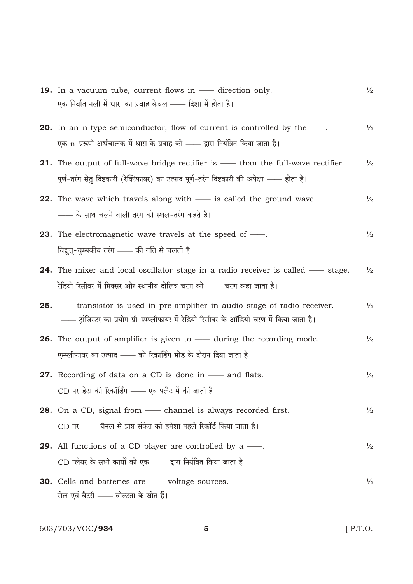| <b>19.</b> In a vacuum tube, current flows in — direction only.                              | $\frac{1}{2}$ |
|----------------------------------------------------------------------------------------------|---------------|
| एक निर्वात नली में धारा का प्रवाह केवल —— दिशा में होता है।                                  |               |
| <b>20.</b> In an n-type semiconductor, flow of current is controlled by the —                | $\frac{1}{2}$ |
| एक n-प्ररूपी अर्धचालक में धारा के प्रवाह को —— द्वारा नियंत्रित किया जाता है।                |               |
| <b>21.</b> The output of full-wave bridge rectifier is — than the full-wave rectifier.       | $\frac{1}{2}$ |
| पूर्ण-तरंग सेतु दिष्टकारी (रेक्टिफायर) का उत्पाद पूर्ण-तरंग दिष्टकारी की अपेक्षा —— होता है। |               |
| <b>22.</b> The wave which travels along with — is called the ground wave.                    | $\frac{1}{2}$ |
| —— के साथ चलने वाली तरंग को स्थल-तरंग कहते हैं।                                              |               |
| <b>23.</b> The electromagnetic wave travels at the speed of —                                | $\frac{1}{2}$ |
| विद्युत्-चुम्बकीय तरंग —— की गति से चलती है।                                                 |               |
| <b>24.</b> The mixer and local oscillator stage in a radio receiver is called — stage.       | $\frac{1}{2}$ |
| रेडियो रिसीवर में मिक्सर और स्थानीय दोलित्र चरण को —— चरण कहा जाता है।                       |               |
| <b>25.</b> — transistor is used in pre-amplifier in audio stage of radio receiver.           | $\frac{1}{2}$ |
| —— ट्रांजिस्टर का प्रयोग प्री-एम्प्लीफायर में रेडियो रिसीवर के ऑडियो चरण में किया जाता है।   |               |
| <b>26.</b> The output of amplifier is given to — during the recording mode.                  | $\frac{1}{2}$ |
| एम्प्लीफायर का उत्पाद —— को रिकॉर्डिंग मोड के दौरान दिया जाता है।                            |               |
| <b>27.</b> Recording of data on a CD is done in — and flats.                                 | $\frac{1}{2}$ |
| CD पर डेटा की रिकॉर्डिंग —— एवं फ्लैट में की जाती है।                                        |               |
| <b>28.</b> On a CD, signal from — channel is always recorded first.                          | $\frac{1}{2}$ |
| CD पर —— चैनल से प्राप्त संकेत को हमेशा पहले रिकॉर्ड किया जाता है।                           |               |
| <b>29.</b> All functions of a CD player are controlled by a $\frac{1}{1}$ .                  | $\frac{1}{2}$ |
| CD प्लेयर के सभी कार्यों को एक —— द्वारा नियंत्रित किया जाता है।                             |               |
| <b>30.</b> Cells and batteries are — voltage sources.                                        | $\frac{1}{2}$ |
| सेल एवं बैटरी —— वोल्टता के स्रोत हैं।                                                       |               |

 $\overline{\mathbf{5}}$ 

603/703/VOC**/934** 

 $[$  P.T.O.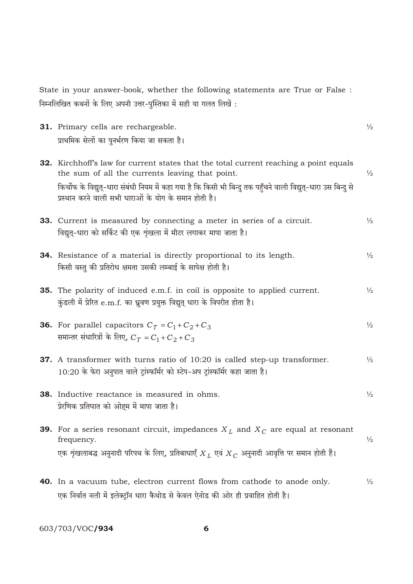State in your answer-book, whether the following statements are True or False : निम्नलिखित कथनों के लिए अपनी उत्तर-पुस्तिका में सही या गलत लिखें :

| 31. Primary cells are rechargeable.                                                                                                                                                                                                                                                                                   | $\frac{1}{2}$ |
|-----------------------------------------------------------------------------------------------------------------------------------------------------------------------------------------------------------------------------------------------------------------------------------------------------------------------|---------------|
| प्राथमिक सेलों का पुनर्भरण किया जा सकता है।                                                                                                                                                                                                                                                                           |               |
| 32. Kirchhoff's law for current states that the total current reaching a point equals<br>the sum of all the currents leaving that point.<br>किर्चोफ के विद्युत्-धारा संबंधी नियम में कहा गया है कि किसी भी बिन्दु तक पहुँचने वाली विद्युत्-धारा उस बिन्दु से<br>प्रस्थान करने वाली सभी धाराओं के योग के समान होती है। | $\frac{1}{2}$ |
| 33. Current is measured by connecting a meter in series of a circuit.<br>विद्युत्-धारा को सर्किट की एक शृंखला में मीटर लगाकर मापा जाता है।                                                                                                                                                                            | $\frac{1}{2}$ |
| 34. Resistance of a material is directly proportional to its length.<br>किसी वस्तु की प्रतिरोध क्षमता उसकी लम्बाई के सापेक्ष होती है।                                                                                                                                                                                 | $\frac{1}{2}$ |
| 35. The polarity of induced e.m.f. in coil is opposite to applied current.<br>कुंडली में प्रेरित e.m.f. का ध्रुवण प्रयुक्त विद्युत् धारा के विपरीत होता है।                                                                                                                                                           | $\frac{1}{2}$ |
| <b>36.</b> For parallel capacitors $C_T$ $C_1$ $C_2$ $C_3$<br>समान्तर संधारित्रों के लिए, $C_T$ $C_1$ $C_2$ $C_3$                                                                                                                                                                                                     | $\frac{1}{2}$ |
| 37. A transformer with turns ratio of 10:20 is called step-up transformer.<br>10:20 के फेरा अनुपात वाले ट्रांस्फॉर्मर को स्टेप-अप ट्रांस्फॉर्मर कहा जाता है।                                                                                                                                                          | $\frac{1}{2}$ |
| 38. Inductive reactance is measured in ohms.<br>प्रेरणिक प्रतिघात को ओहम में मापा जाता है।                                                                                                                                                                                                                            | $\frac{1}{2}$ |
| <b>39.</b> For a series resonant circuit, impedances $X_L$ and $X_C$ are equal at resonant<br>frequency.<br>एक शृंखलाबद्ध अनुनादी परिपथ के लिए, प्रतिबाधाएँ $X_L$ एवं $X_C$ अनुनादी आवृत्ति पर समान होती हैं।                                                                                                         | $\frac{1}{2}$ |
| <b>40.</b> In a vacuum tube, electron current flows from cathode to anode only.                                                                                                                                                                                                                                       | $\frac{1}{2}$ |

603/703/VOC/934

6

एक निर्वात नली में इलेक्ट्रॉन धारा कैथोड से केवल ऐनोड की ओर ही प्रवाहित होती है।